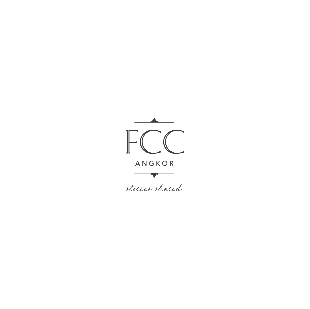

stories shared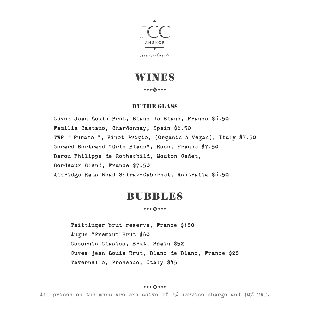

## **WINES**

#### 

### BY THE GLASS

Cuvee Jean Louis Brut, Blanc de Blanc, France \$6.50 Familia Castano, Chardonnay, Spain \$6.50 TWP " Purato ", Pinot Grigio, (Organic & Vegan), Italy \$7.50 Gerard Bertrand "Gris Blanc", Rose, France \$7.50 Baron Philippe de Rothschild, Mouton Cadet, Bordeaux Blend, France \$7.50 Aldridge Rams Head Shiraz-Cabernet, Australia \$6.50

### BUBBLES

Taittinger brut reserve, France \$180 Angus "Premium"Brut \$60 Codorniu Clasico, Brut, Spain \$52 Cuvee jean Louis Brut, Blanc de Blanc, France \$28 Tavernello, Prosecco, Italy \$45

####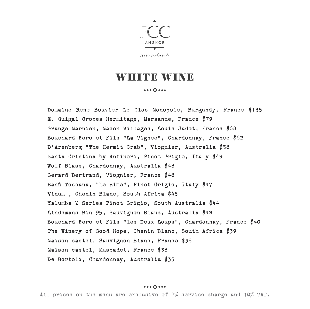

## WHITE WIND

#### 

Domaine Rene Bouvier Le Clos Monopole, Burgundy, France \$135 E. Guigal Crozes Hermitage, Marsanne, France \$79 Grange Marnien, Macon Villages, Louis Jadot, France \$68 Bouchard Pere et Fils "La Vignee", Chardonnay, France \$62 D'Arenberg "The Hermit Crab", Viognier, Australia \$58 Santa Cristina by Antinori, Pinot Grigio, Italy \$49 Wolf Blass, Chardonnay, Australia \$48 Gerard Bertrand, Viognier, France \$48 Banfi Toscana, "Le Rime", Pinot Grigio, Italy \$47 Vinum , Chenin Blanc, South Africa \$45 Yalumba Y Series Pinot Grigio, South Australia \$44 Lindemans Bin 95, Sauvignon Blanc, Australia \$42 Bouchard Pere et Fils "les Deux Loups", Chardonnay, France \$40 The Winery of Good Hope, Chenin Blanc, South Africa \$39 Maison castel, Sauvignon Blanc, France \$38 Maison castel, Muscadet, France \$38 De Bortoli, Chardonnay, Australia \$35

####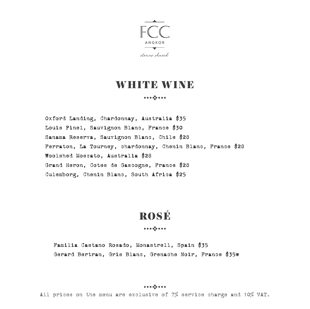

## WHITE WINE

#### 

Oxford Landing, Chardonnay, Australia \$35 Louis Pinel, Sauvignon Blanc, France \$30 Sanama Reserva, Sauvignon Blanc, Chile \$28 Ferraton, La Tourney, chardonnay, Chenin Blanc, France \$28 Woolshed Moscato, Australia \$28 Grand Heron, Cotes de Gascogne, France \$28 Culemborg, Chenin Blanc, South Africa \$25

# ROSÉ

Familia Castano Rosado, Monastrell, Spain \$35 Gerard Bertran, Gris Blanc, Grenache Noir, France \$35w

####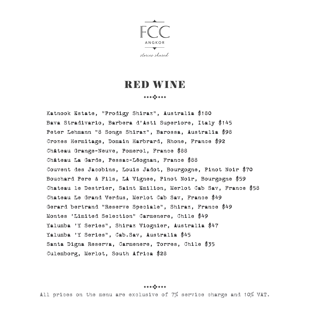

## RED WINE

#### 

Katnook Estate, "Prodigy Shiraz", Australia \$180 Bava Stradivario, Barbera d'Asti Superiore, Italy \$145 Peter Lehmann "8 Songs Shiraz", Barossa, Australia \$98 Crozes Hermitage, Domain Harbrard, Rhone, France \$92 Château Grange-Neuve, Pomerol, France \$88 Château La Garde, Pessac-Léognan, France \$88 Couvent des Jacobins, Louis Jadot, Bourgogne, Pinot Noir \$70 Bouchard Pere & Fils, LA Vignee, Pinot Noir, Bourgogne \$59 Chateau le Destrier, Saint Emilion, Merlot Cab Sav, France \$58 Chateau Le Grand Verdus, Merlot Cab Sav, France \$49 Gerard bertrand "Reserve Speciale", Shiraz, France \$49 Montes 'Limited Selection" Carmenere, Chile \$49 Yalumba 'Y Series", Shiraz Viognier, Australia \$47 Yalumba 'Y Series", Cab.Sav, Australia \$45 Santa Digna Reserva, Carmenere, Torres, Chile \$35 Culemborg, Merlot, South Africa \$28

####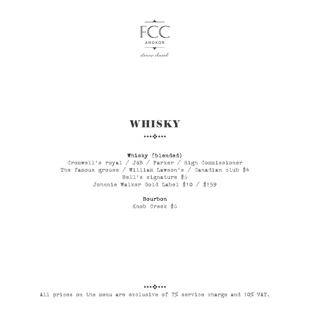

stories shared

# **WHISKY**

### 

### Whisky (blended)

Cromwell's royal / J&B / Parker / High Commissioner The famous grouse / William Lawson's / Canadian club \$4 Bell's signature \$6 Johnnie Walker Gold Label \$10 / \$159

#### Bourbon

Knob Creek \$6

####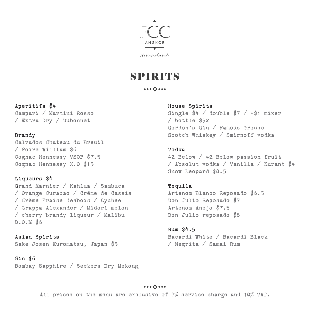

## **SPIRITS**

#### 

### Aperitifs \$4

Campari / Martini Rosso / Extra Dry / Dubonnet

### Brandy

Calvados Chateau du Breuil / Poire William \$6 Cognac Hennessy VSOP \$7.5 Cognac Hennessy X.O \$15

### Liqueurs \$4

Grand Marnier / Kahlua / Sambuca / Orange Curacao / Créme de Cassis / Crème Fraise desbois / Lychee / Grappa Alexander / Midori melon / cherry brandy liqueur / Malibu D.O.M \$6

Asian Spirits Sake Josen Kuromatsu, Japan \$5

### Gin \$6

Bombay Sapphire / Seekers Dry Mekong

### House Spirits

Single  $$4 /$  double  $$7 / + $1$  mixer / bottle \$52 Gordon's Gin / Famous Grouse Scotch Whiskey / Smirnoff vodka

#### Vodka

42 Below / 42 Below passion fruit / Absolut vodka / Vanilla / Kurant \$4 Snow Leopard \$8.5

### Tequila

Artenom Blanco Reposado \$6.5 Don Julio Reposado \$7 Artenom Anejo \$7.5 Don Julio reposado \$8

Rum \$4.5 Bacardi White / Bacardi Black / Negrita / Samai Rum

####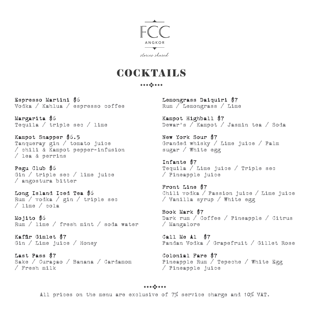

## **COCKTAILS**

#### 

Espresso Martini \$6 Vodka / Kahlua / espresso coffee

Margarita \$6 Tequila / triple sec / lime

Kampot Snapper \$6.5 Tanqueray gin / tomato juice / chili & Kampot pepper-infusion / lea & perrins

Pegu Club \$6 Gin / triple sec / lime juice / angostura bitter

Long Island Iced Tea \$6 Rum / vodka / gin / triple sec / lime / cola

Mojito \$6 Rum / lime / fresh mint / soda water

Kaffir Gimlet \$7 Gin / Lime juice / Honey

Last Pass \$7 Sake / Curaçao / Banana / Cardamom / Fresh milk

Lemongrass Daiquiri \$7 Rum / Lemongrass / Lime

Kampot Highball \$7 Dewar's / Kampot / Jasmin tea / Soda

New York Sour \$7 Granded whisky / Lime juice / Palm sugar / White egg

Infante \$7 Tequila / Lime juice / Triple sec / Pineapple juice

Front Line \$7 Chili vodka / Passion juice / Lime juice / Vanilla syrup / White egg

Book Mark \$7 Dark rum / Coffee / Pineapple / Citrus / Mangalore

Call Me Al \$7 Pandan Vodka / Grapefruit / Gillet Rose

Colonial Fare \$7 Pineapple Rum / Tepeche / White Egg / Pineapple juice

####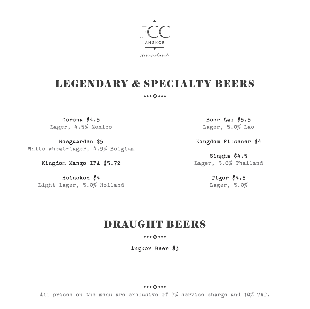

## LEGENDARY & SPECIALTY BEERS

Corona \$4.5 Lager, 4.5% Mexico

Hoegaarden \$5 White wheat-lager, 4.9% Belgium

Kingdom Mango IPA \$5.72

Heineken \$4 Light lager, 5.0% Holland

Beer Lao \$5.5 Lager, 5.0% Lao

Kingdom Pilsener \$4

Singha \$4.5 Lager, 5.0% Thailand

> Tiger \$4.5 Lager, 5.0%

## DRAUGHT BEERS

Angkor Beer \$3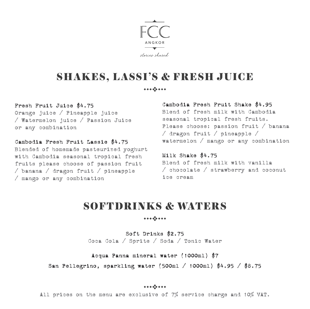

## SHAKES, LASSI'S & FRESH JUICE

#### 

### Fresh Fruit Juice \$4.75

Orange juice / Pineapple juice / Watermelon juice / Passion Juice or any combination

Cambodia Fresh Fruit Lassie \$4.75 Blended of homemade pasteurized yoghurt with Cambodia seasonal tropical fresh fruits please choose of passion fruit / banana / dragon fruit / pineapple / mango or any combination

#### Cambodia Fresh Fruit Shake \$4.95

Blend of fresh milk with Cambodia seasonal tropical fresh fruits. Please choose: passion fruit / banana / dragon fruit / pineapple / watermelon / mango or any combination

Milk Shake \$4.75 Blend of fresh milk with vanilla / chocolate / strawberry and coconut ice cream

## SOFTDRINKS & WATERS

Soft Drinks \$2.75 Coca Cola / Sprite / Soda / Tonic Water

Acqua Panna mineral water (1000ml) \$7

San Pellegrino, sparkling water (500ml / 1000ml) \$4.95 / \$8.75